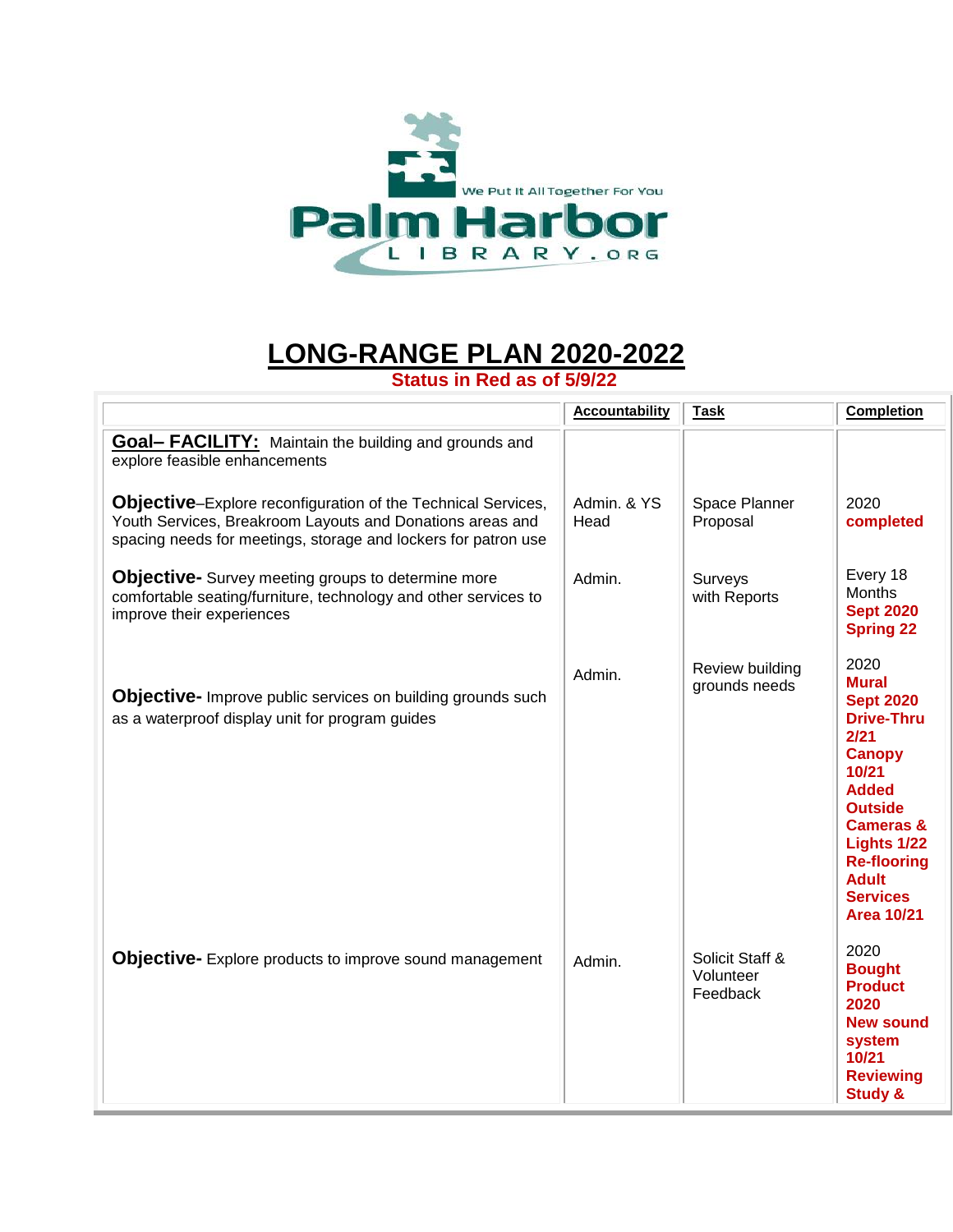

## **LONG-RANGE PLAN 2020-2022**

**Status in Red as of 5/9/22**

|                                                                                                                                                                                             | <b>Accountability</b> | <b>Task</b>                              | <b>Completion</b>                                                                                                                                                                                                                                      |
|---------------------------------------------------------------------------------------------------------------------------------------------------------------------------------------------|-----------------------|------------------------------------------|--------------------------------------------------------------------------------------------------------------------------------------------------------------------------------------------------------------------------------------------------------|
| <b>Goal- FACILITY:</b> Maintain the building and grounds and<br>explore feasible enhancements                                                                                               |                       |                                          |                                                                                                                                                                                                                                                        |
| Objective-Explore reconfiguration of the Technical Services,<br>Youth Services, Breakroom Layouts and Donations areas and<br>spacing needs for meetings, storage and lockers for patron use | Admin. & YS<br>Head   | Space Planner<br>Proposal                | 2020<br>completed                                                                                                                                                                                                                                      |
| <b>Objective-</b> Survey meeting groups to determine more<br>comfortable seating/furniture, technology and other services to<br>improve their experiences                                   | Admin.                | Surveys<br>with Reports                  | Every 18<br>Months<br><b>Sept 2020</b><br><b>Spring 22</b>                                                                                                                                                                                             |
| Objective- Improve public services on building grounds such<br>as a waterproof display unit for program guides                                                                              | Admin.                | Review building<br>grounds needs         | 2020<br><b>Mural</b><br><b>Sept 2020</b><br><b>Drive-Thru</b><br>2/21<br><b>Canopy</b><br>10/21<br><b>Added</b><br><b>Outside</b><br><b>Cameras &amp;</b><br>Lights 1/22<br><b>Re-flooring</b><br><b>Adult</b><br><b>Services</b><br><b>Area 10/21</b> |
| <b>Objective-</b> Explore products to improve sound management                                                                                                                              | Admin.                | Solicit Staff &<br>Volunteer<br>Feedback | 2020<br><b>Bought</b><br><b>Product</b><br>2020<br><b>New sound</b><br>system<br>10/21<br><b>Reviewing</b><br><b>Study &amp;</b>                                                                                                                       |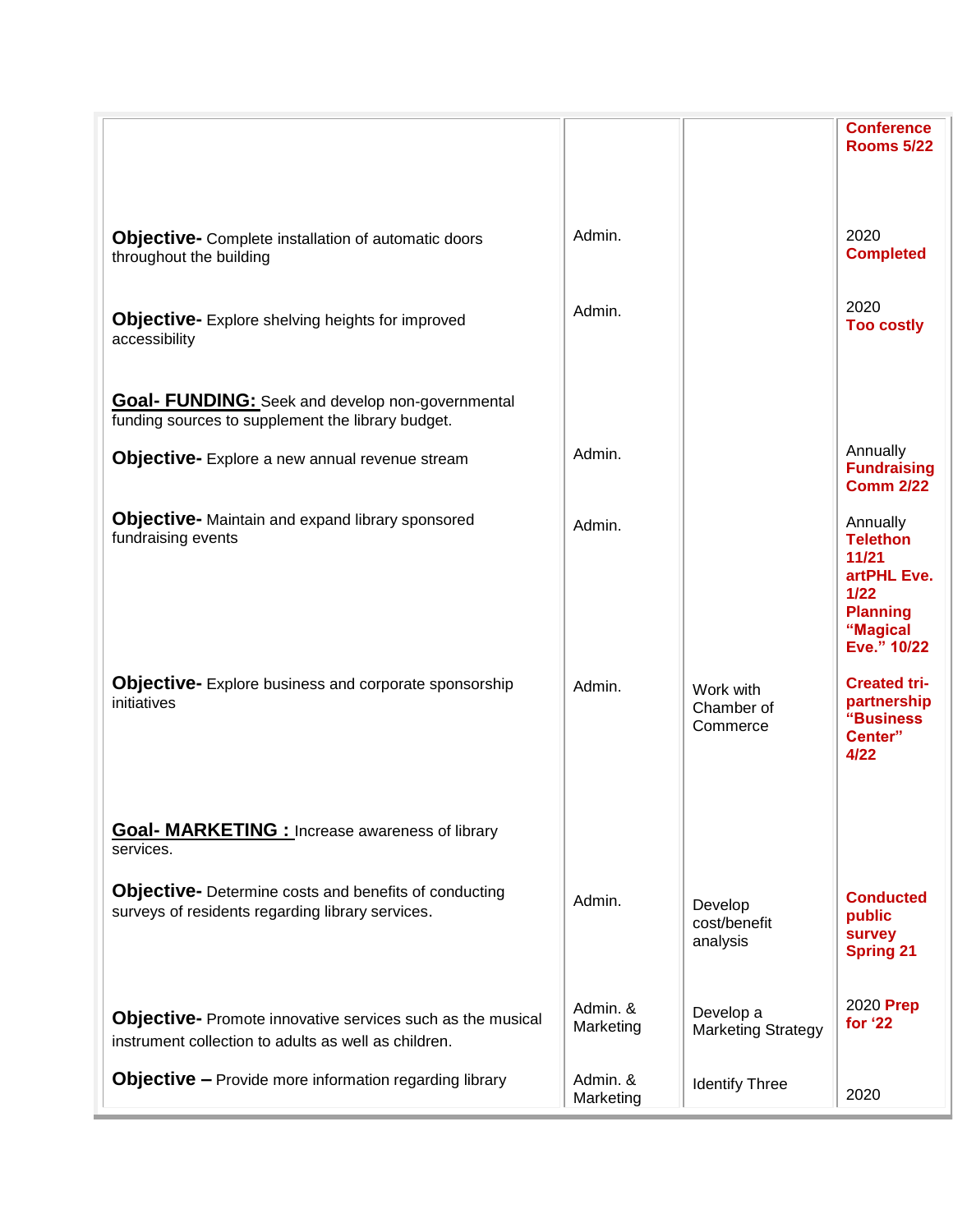|                                                                                                                           |                       |                                        | <b>Conference</b><br><b>Rooms 5/22</b>                                                                      |
|---------------------------------------------------------------------------------------------------------------------------|-----------------------|----------------------------------------|-------------------------------------------------------------------------------------------------------------|
| <b>Objective-</b> Complete installation of automatic doors<br>throughout the building                                     | Admin.                |                                        | 2020<br><b>Completed</b>                                                                                    |
| <b>Objective-</b> Explore shelving heights for improved<br>accessibility                                                  | Admin.                |                                        | 2020<br><b>Too costly</b>                                                                                   |
| <b>Goal- FUNDING:</b> Seek and develop non-governmental<br>funding sources to supplement the library budget.              |                       |                                        |                                                                                                             |
| Objective- Explore a new annual revenue stream                                                                            | Admin.                |                                        | Annually<br><b>Fundraising</b><br><b>Comm 2/22</b>                                                          |
| <b>Objective-</b> Maintain and expand library sponsored<br>fundraising events                                             | Admin.                |                                        | Annually<br><b>Telethon</b><br>11/21<br>artPHL Eve.<br>$1/22$<br><b>Planning</b><br>"Magical<br>Eve." 10/22 |
| <b>Objective-</b> Explore business and corporate sponsorship<br>initiatives                                               | Admin.                | Work with<br>Chamber of<br>Commerce    | <b>Created tri-</b><br>partnership<br>"Business<br>Center"<br>4/22                                          |
| <b>Goal- MARKETING : Increase awareness of library</b><br>services.                                                       |                       |                                        |                                                                                                             |
| <b>Objective-</b> Determine costs and benefits of conducting<br>surveys of residents regarding library services.          | Admin.                | Develop<br>cost/benefit<br>analysis    | <b>Conducted</b><br>public<br>survey<br><b>Spring 21</b>                                                    |
| <b>Objective-</b> Promote innovative services such as the musical<br>instrument collection to adults as well as children. | Admin. &<br>Marketing | Develop a<br><b>Marketing Strategy</b> | 2020 Prep<br>for '22                                                                                        |
| <b>Objective - Provide more information regarding library</b>                                                             | Admin. &<br>Marketing | <b>Identify Three</b>                  | 2020                                                                                                        |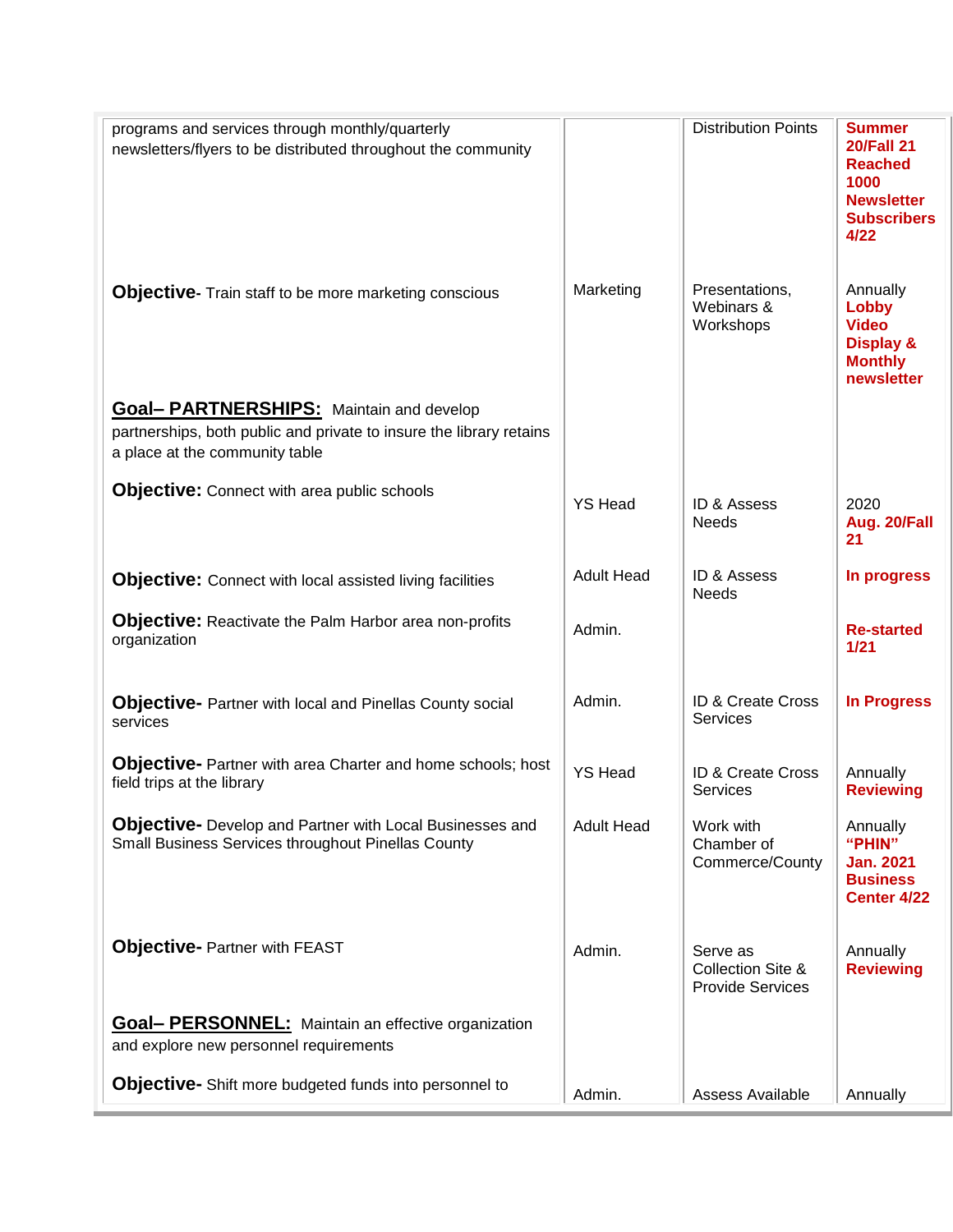| programs and services through monthly/quarterly<br>newsletters/flyers to be distributed throughout the community                                         |                   | <b>Distribution Points</b>                                          | <b>Summer</b><br><b>20/Fall 21</b><br><b>Reached</b><br>1000<br><b>Newsletter</b><br><b>Subscribers</b><br>4/22 |
|----------------------------------------------------------------------------------------------------------------------------------------------------------|-------------------|---------------------------------------------------------------------|-----------------------------------------------------------------------------------------------------------------|
| <b>Objective-</b> Train staff to be more marketing conscious                                                                                             | Marketing         | Presentations,<br>Webinars &<br>Workshops                           | Annually<br>Lobby<br><b>Video</b><br><b>Display &amp;</b><br><b>Monthly</b><br>newsletter                       |
| <b>Goal- PARTNERSHIPS:</b> Maintain and develop<br>partnerships, both public and private to insure the library retains<br>a place at the community table |                   |                                                                     |                                                                                                                 |
| <b>Objective:</b> Connect with area public schools                                                                                                       | <b>YS Head</b>    | ID & Assess<br><b>Needs</b>                                         | 2020<br>Aug. 20/Fall<br>21                                                                                      |
| <b>Objective:</b> Connect with local assisted living facilities                                                                                          | <b>Adult Head</b> | <b>ID &amp; Assess</b><br><b>Needs</b>                              | In progress                                                                                                     |
| <b>Objective:</b> Reactivate the Palm Harbor area non-profits<br>organization                                                                            | Admin.            |                                                                     | <b>Re-started</b><br>1/21                                                                                       |
| <b>Objective-</b> Partner with local and Pinellas County social<br>services                                                                              | Admin.            | ID & Create Cross<br><b>Services</b>                                | <b>In Progress</b>                                                                                              |
| <b>Objective-</b> Partner with area Charter and home schools; host<br>field trips at the library                                                         | <b>YS Head</b>    | ID & Create Cross<br>Services                                       | Annually<br><b>Reviewing</b>                                                                                    |
| <b>Objective-</b> Develop and Partner with Local Businesses and<br><b>Small Business Services throughout Pinellas County</b>                             | <b>Adult Head</b> | Work with<br>Chamber of<br>Commerce/County                          | Annually<br>"PHIN"<br><b>Jan. 2021</b><br><b>Business</b><br>Center 4/22                                        |
| <b>Objective- Partner with FEAST</b>                                                                                                                     | Admin.            | Serve as<br><b>Collection Site &amp;</b><br><b>Provide Services</b> | Annually<br><b>Reviewing</b>                                                                                    |
| <b>Goal- PERSONNEL:</b> Maintain an effective organization<br>and explore new personnel requirements                                                     |                   |                                                                     |                                                                                                                 |
| <b>Objective-</b> Shift more budgeted funds into personnel to                                                                                            | Admin.            | <b>Assess Available</b>                                             | Annually                                                                                                        |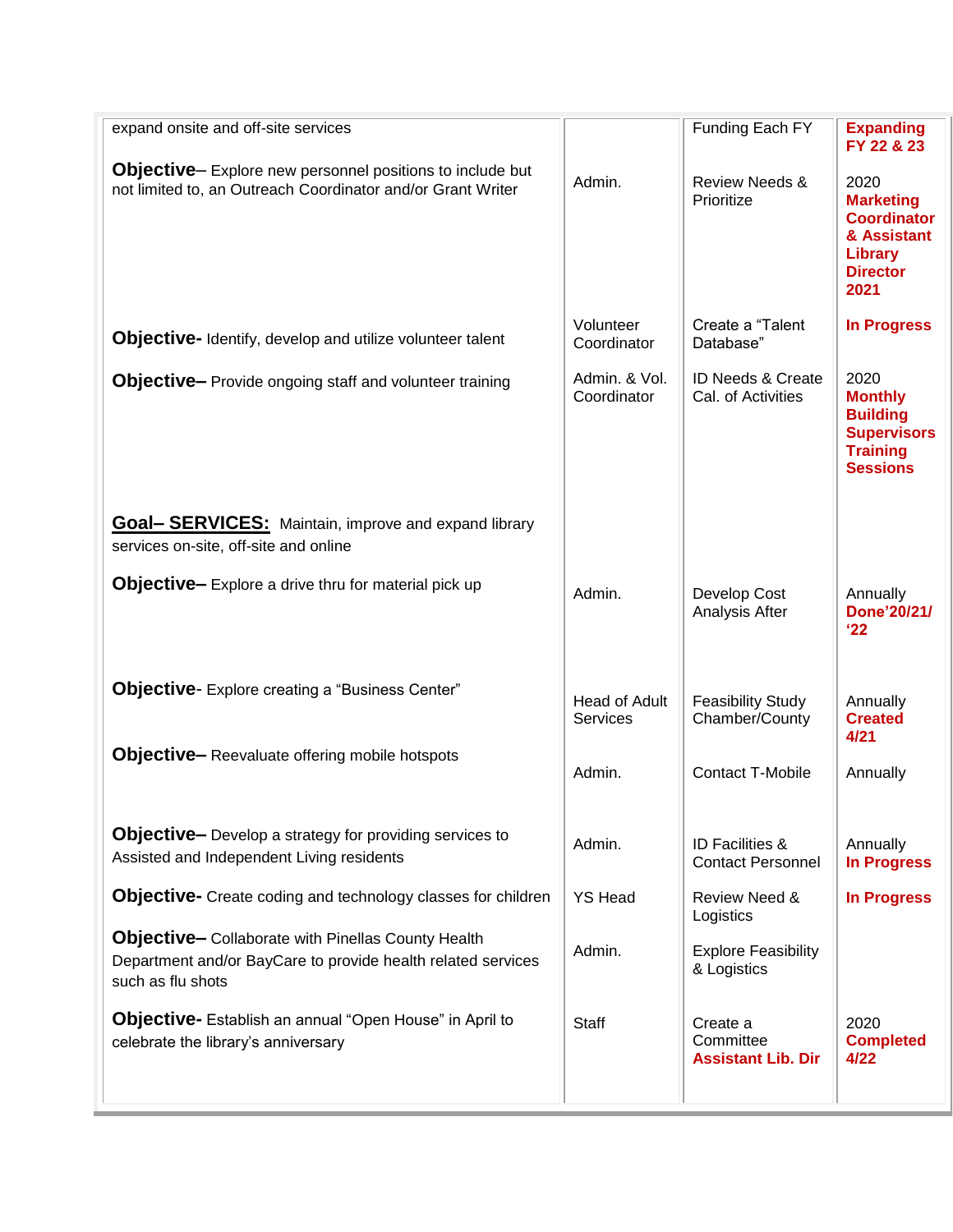| expand onsite and off-site services                                                                                                            |                                  | Funding Each FY                                        | <b>Expanding</b><br>FY 22 & 23                                                                        |
|------------------------------------------------------------------------------------------------------------------------------------------------|----------------------------------|--------------------------------------------------------|-------------------------------------------------------------------------------------------------------|
| <b>Objective-Explore new personnel positions to include but</b><br>not limited to, an Outreach Coordinator and/or Grant Writer                 | Admin.                           | <b>Review Needs &amp;</b><br>Prioritize                | 2020<br><b>Marketing</b><br><b>Coordinator</b><br>& Assistant<br>Library<br><b>Director</b><br>2021   |
| Objective- Identify, develop and utilize volunteer talent                                                                                      | Volunteer<br>Coordinator         | Create a "Talent<br>Database"                          | <b>In Progress</b>                                                                                    |
| <b>Objective-</b> Provide ongoing staff and volunteer training                                                                                 | Admin. & Vol.<br>Coordinator     | ID Needs & Create<br>Cal. of Activities                | 2020<br><b>Monthly</b><br><b>Building</b><br><b>Supervisors</b><br><b>Training</b><br><b>Sessions</b> |
| <b>Goal- SERVICES:</b> Maintain, improve and expand library<br>services on-site, off-site and online                                           |                                  |                                                        |                                                                                                       |
| <b>Objective-</b> Explore a drive thru for material pick up                                                                                    | Admin.                           | Develop Cost<br>Analysis After                         | Annually<br>Done'20/21/<br>'22                                                                        |
| <b>Objective-</b> Explore creating a "Business Center"                                                                                         | Head of Adult<br><b>Services</b> | <b>Feasibility Study</b><br>Chamber/County             | Annually<br><b>Created</b><br>4/21                                                                    |
| <b>Objective-</b> Reevaluate offering mobile hotspots                                                                                          | Admin.                           | <b>Contact T-Mobile</b>                                | Annually                                                                                              |
| <b>Objective-</b> Develop a strategy for providing services to<br>Assisted and Independent Living residents                                    | Admin.                           | <b>ID Facilities &amp;</b><br><b>Contact Personnel</b> | Annually<br><b>In Progress</b>                                                                        |
| <b>Objective-</b> Create coding and technology classes for children                                                                            | <b>YS Head</b>                   | Review Need &<br>Logistics                             | <b>In Progress</b>                                                                                    |
| <b>Objective-</b> Collaborate with Pinellas County Health<br>Department and/or BayCare to provide health related services<br>such as flu shots | Admin.                           | <b>Explore Feasibility</b><br>& Logistics              |                                                                                                       |
| <b>Objective-</b> Establish an annual "Open House" in April to<br>celebrate the library's anniversary                                          | <b>Staff</b>                     | Create a<br>Committee<br><b>Assistant Lib. Dir</b>     | 2020<br><b>Completed</b><br>4/22                                                                      |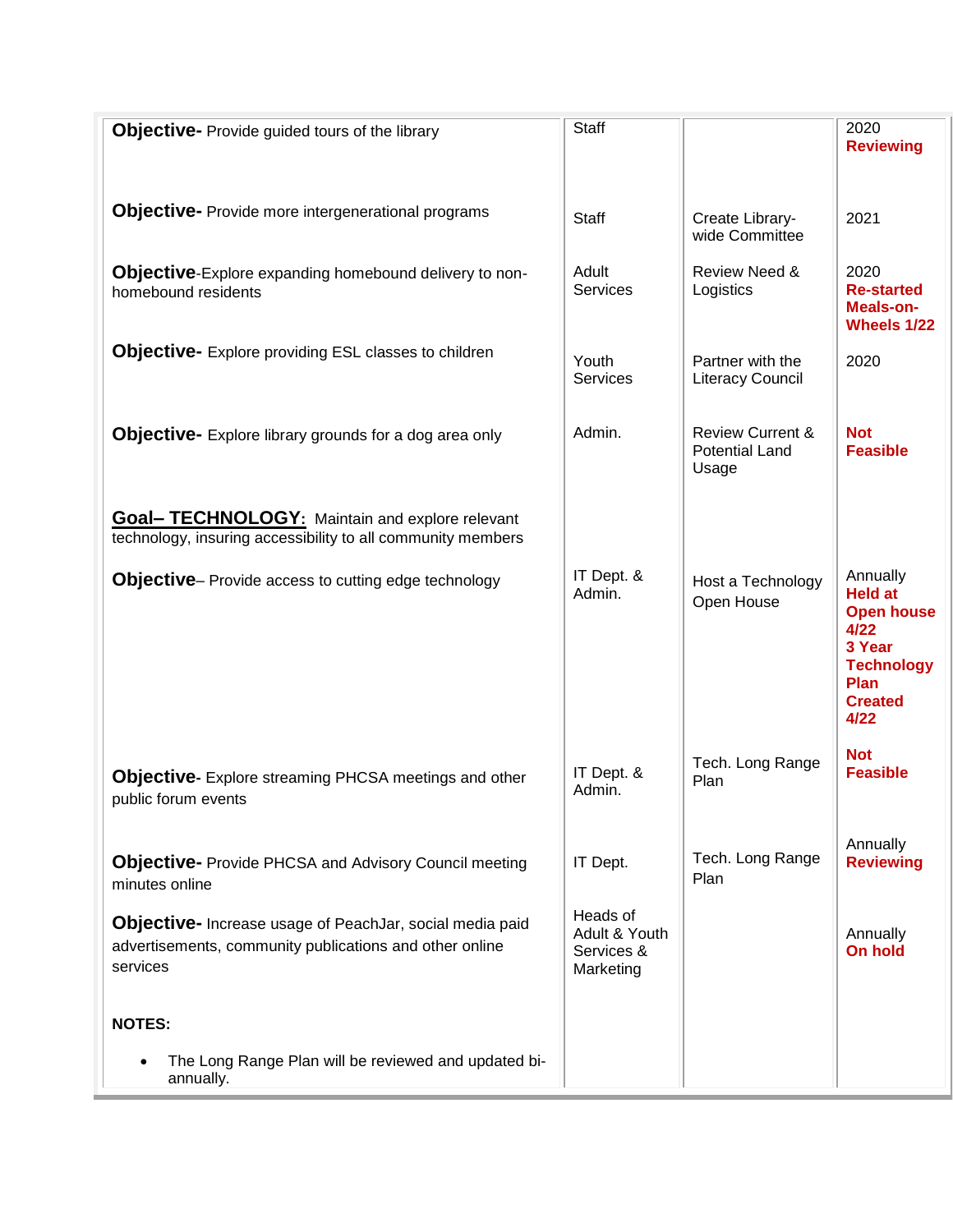| <b>Objective-</b> Provide guided tours of the library                                                                           | <b>Staff</b>                                         |                                                               | 2020<br><b>Reviewing</b>                                                                                                 |
|---------------------------------------------------------------------------------------------------------------------------------|------------------------------------------------------|---------------------------------------------------------------|--------------------------------------------------------------------------------------------------------------------------|
|                                                                                                                                 |                                                      |                                                               |                                                                                                                          |
| <b>Objective-</b> Provide more intergenerational programs                                                                       | Staff                                                | Create Library-<br>wide Committee                             | 2021                                                                                                                     |
| <b>Objective-Explore expanding homebound delivery to non-</b><br>homebound residents                                            | Adult<br><b>Services</b>                             | Review Need &<br>Logistics                                    | 2020<br><b>Re-started</b><br>Meals-on-<br>Wheels 1/22                                                                    |
| <b>Objective-</b> Explore providing ESL classes to children                                                                     | Youth<br>Services                                    | Partner with the<br><b>Literacy Council</b>                   | 2020                                                                                                                     |
| <b>Objective-</b> Explore library grounds for a dog area only                                                                   | Admin.                                               | <b>Review Current &amp;</b><br><b>Potential Land</b><br>Usage | <b>Not</b><br><b>Feasible</b>                                                                                            |
| <b>Goal- TECHNOLOGY:</b> Maintain and explore relevant<br>technology, insuring accessibility to all community members           |                                                      |                                                               |                                                                                                                          |
| <b>Objective-</b> Provide access to cutting edge technology                                                                     | IT Dept. &<br>Admin.                                 | Host a Technology<br>Open House                               | Annually<br><b>Held at</b><br><b>Open house</b><br>4/22<br>3 Year<br><b>Technology</b><br>Plan<br><b>Created</b><br>4/22 |
| Objective- Explore streaming PHCSA meetings and other<br>public forum events                                                    | IT Dept. &<br>Admin.                                 | Tech. Long Range<br>Plan                                      | <b>Not</b><br><b>Feasible</b>                                                                                            |
| <b>Objective-</b> Provide PHCSA and Advisory Council meeting<br>minutes online                                                  | IT Dept.                                             | Tech. Long Range<br>Plan                                      | Annually<br><b>Reviewing</b>                                                                                             |
| Objective- Increase usage of PeachJar, social media paid<br>advertisements, community publications and other online<br>services | Heads of<br>Adult & Youth<br>Services &<br>Marketing |                                                               | Annually<br><b>On hold</b>                                                                                               |
| <b>NOTES:</b>                                                                                                                   |                                                      |                                                               |                                                                                                                          |
| The Long Range Plan will be reviewed and updated bi-<br>annually.                                                               |                                                      |                                                               |                                                                                                                          |